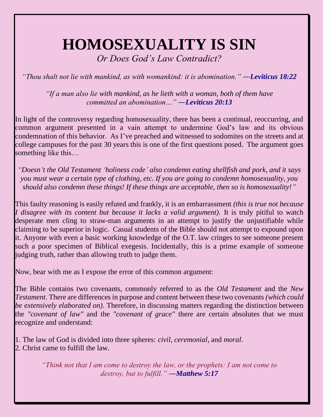## **HOMOSEXUALITY IS SIN**

*Or Does God's Law Contradict?*

*"Thou shalt not lie with mankind, as with womankind: it is abomination." ―Leviticus 18:22* 

*"If a man also lie with mankind, as he lieth with a woman, both of them have committed an abomination…" ―Leviticus 20:13* 

In light of the controversy regarding homosexuality, there has been a continual, reoccurring, and common argument presented in a vain attempt to undermine God's law and its obvious condemnation of this behavior. As I've preached and witnessed to sodomites on the streets and at college campuses for the past 30 years this is one of the first questions posed. The argument goes something like this…

*"Doesn't the Old Testament 'holiness code' also condemn eating shellfish and pork, and it says you must wear a certain type of clothing, etc. If you are going to condemn homosexuality, you should also condemn these things! If these things are acceptable, then so is homosexuality!"*

This faulty reasoning is easily refuted and frankly, it is an embarrassment *(this is true not because I disagree with its content but because it lacks a valid argument).* It is truly pitiful to watch desperate men cling to straw-man arguments in an attempt to justify the unjustifiable while claiming to be superior in logic. Casual students of the Bible should not attempt to expound upon it. Anyone with even a basic working knowledge of the O.T. law cringes to see someone present such a poor specimen of Biblical exegesis. Incidentally, this is a prime example of someone judging truth, rather than allowing truth to judge them.

Now, bear with me as I expose the error of this common argument:

The Bible contains two covenants, commonly referred to as the *Old Testament* and the *New Testament*. There are differences in purpose and content between these two covenants *(which could be extensively elaborated on)*. Therefore, in discussing matters regarding the distinction between the *"covenant of law"* and the *"covenant of grace"* there are certain absolutes that we must recognize and understand:

1. The law of God is divided into three spheres: *civil*, *ceremonial*, and *moral*. 2. Christ came to fulfill the law.

> *"Think not that I am come to destroy the law, or the prophets: I am not come to destroy, but to fulfill." ―Matthew 5:17*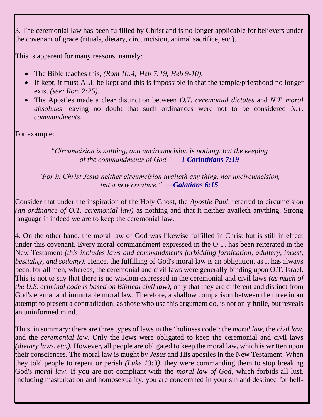3. The ceremonial law has been fulfilled by Christ and is no longer applicable for believers under the covenant of grace (rituals, dietary, circumcision, animal sacrifice, etc.).

This is apparent for many reasons, namely:

- The Bible teaches this, *(Rom 10:4; Heb 7:19; Heb 9-10).*
- If kept, it must ALL be kept and this is impossible in that the temple/priesthood no longer exist *(see: Rom 2:25)*.
- The Apostles made a clear distinction between *O.T. ceremonial dictates* and *N.T. moral absolutes* leaving no doubt that such ordinances were not to be considered *N.T. commandments*.

For example:

## *"Circumcision is nothing, and uncircumcision is nothing, but the keeping of the commandments of God." ―1 Corinthians 7:19*

## *"For in Christ Jesus neither circumcision availeth any thing, nor uncircumcision, but a new creature." ―Galatians 6:15*

Consider that under the inspiration of the Holy Ghost, the *Apostle Paul*, referred to circumcision *(an ordinance of O.T. ceremonial law)* as nothing and that it neither availeth anything. Strong language if indeed we are to keep the ceremonial law.

4. On the other hand, the moral law of God was likewise fulfilled in Christ but is still in effect under this covenant. Every moral commandment expressed in the O.T. has been reiterated in the New Testament *(this includes laws and commandments forbidding fornication, adultery, incest, bestiality, and sodomy).* Hence, the fulfilling of God's moral law is an obligation, as it has always been, for all men, whereas, the ceremonial and civil laws were generally binding upon O.T. Israel. This is not to say that there is no wisdom expressed in the ceremonial and civil laws *(as much of the U.S. criminal code is based on Biblical civil law),* only that they are different and distinct from God's eternal and immutable moral law. Therefore, a shallow comparison between the three in an attempt to present a contradiction, as those who use this argument do, is not only futile, but reveals an uninformed mind.

Thus, in summary: there are three types of laws in the 'holiness code': the *moral law*, the *civil law*, and the *ceremonial law*. Only the Jews were obligated to keep the ceremonial and civil laws *(dietary laws, etc.).* However, all people are obligated to keep the moral law, which is written upon their consciences. The moral law is taught by *Jesus* and His apostles in the New Testament. When they told people to repent or perish *(Luke 13:3),* they were commanding them to stop breaking God's *moral law*. If you are not compliant with the *moral law of God*, which forbids all lust, including masturbation and homosexuality, you are condemned in your sin and destined for hell